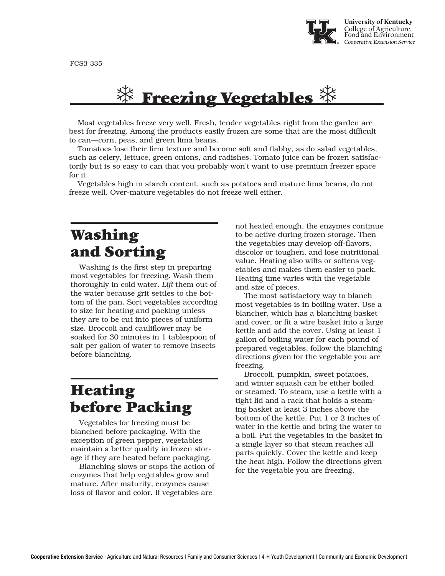

FCS3-335

# $\frac{11}{11}$  Freezing Vegetables  $\frac{11}{11}$

 Most vegetables freeze very well. Fresh, tender vegetables right from the garden are best for freezing. Among the products easily frozen are some that are the most difficult to can—corn, peas, and green lima beans.

 Tomatoes lose their firm texture and become soft and flabby, as do salad vegetables, such as celery, lettuce, green onions, and radishes. Tomato juice can be frozen satisfactorily but is so easy to can that you probably won't want to use premium freezer space for it.

 Vegetables high in starch content, such as potatoes and mature lima beans, do not freeze well. Over-mature vegetables do not freeze well either.

#### Washing and Sorting

 Washing is the first step in preparing most vegetables for freezing. Wash them thoroughly in cold water. *Lift* them out of the water because grit settles to the bottom of the pan. Sort vegetables according to size for heating and packing unless they are to be cut into pieces of uniform size. Broccoli and cauliflower may be soaked for 30 minutes in 1 tablespoon of salt per gallon of water to remove insects before blanching.

### Heating before Packing

 Vegetables for freezing must be blanched before packaging. With the exception of green pepper, vegetables maintain a better quality in frozen storage if they are heated before packaging.

 Blanching slows or stops the action of enzymes that help vegetables grow and mature. After maturity, enzymes cause loss of flavor and color. If vegetables are

not heated enough, the enzymes continue to be active during frozen storage. Then the vegetables may develop off-flavors, discolor or toughen, and lose nutritional value. Heating also wilts or softens vegetables and makes them easier to pack. Heating time varies with the vegetable and size of pieces.

 The most satisfactory way to blanch most vegetables is in boiling water. Use a blancher, which has a blanching basket and cover, or fit a wire basket into a large kettle and add the cover. Using at least 1 gallon of boiling water for each pound of prepared vegetables, follow the blanching directions given for the vegetable you are freezing.

 Broccoli, pumpkin, sweet potatoes, and winter squash can be either boiled or steamed. To steam, use a kettle with a tight lid and a rack that holds a steaming basket at least 3 inches above the bottom of the kettle. Put 1 or 2 inches of water in the kettle and bring the water to a boil. Put the vegetables in the basket in a single layer so that steam reaches all parts quickly. Cover the kettle and keep the heat high. Follow the directions given for the vegetable you are freezing.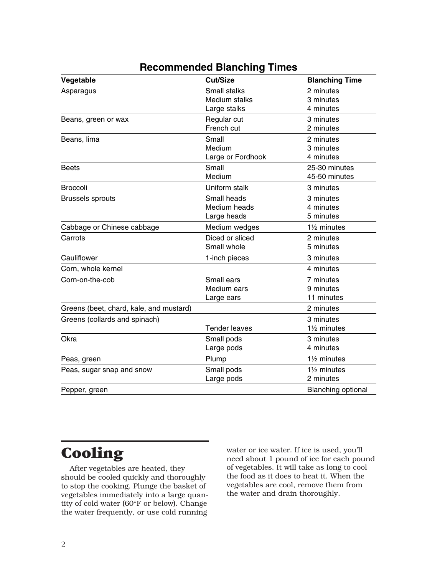| Vegetable                               | Cut/Size             | <b>Blanching Time</b>     |
|-----------------------------------------|----------------------|---------------------------|
| Asparagus                               | Small stalks         | 2 minutes                 |
|                                         | <b>Medium stalks</b> | 3 minutes                 |
|                                         | Large stalks         | 4 minutes                 |
| Beans, green or wax                     | Regular cut          | 3 minutes                 |
|                                         | French cut           | 2 minutes                 |
| Beans, lima                             | Small                | 2 minutes                 |
|                                         | Medium               | 3 minutes                 |
|                                         | Large or Fordhook    | 4 minutes                 |
| <b>Beets</b>                            | Small                | 25-30 minutes             |
|                                         | Medium               | 45-50 minutes             |
| <b>Broccoli</b>                         | Uniform stalk        | 3 minutes                 |
| <b>Brussels sprouts</b>                 | Small heads          | 3 minutes                 |
|                                         | <b>Medium heads</b>  | 4 minutes                 |
|                                         | Large heads          | 5 minutes                 |
| Cabbage or Chinese cabbage              | Medium wedges        | 1 <sup>1/2</sup> minutes  |
| Carrots                                 | Diced or sliced      | 2 minutes                 |
|                                         | Small whole          | 5 minutes                 |
| Cauliflower                             | 1-inch pieces        | 3 minutes                 |
| Corn, whole kernel                      |                      | 4 minutes                 |
| Corn-on-the-cob                         | Small ears           | 7 minutes                 |
|                                         | Medium ears          | 9 minutes                 |
|                                         | Large ears           | 11 minutes                |
| Greens (beet, chard, kale, and mustard) |                      | 2 minutes                 |
| Greens (collards and spinach)           |                      | 3 minutes                 |
|                                         | <b>Tender leaves</b> | 1 <sup>1/2</sup> minutes  |
| Okra                                    | Small pods           | 3 minutes                 |
|                                         | Large pods           | 4 minutes                 |
| Peas, green                             | Plump                | $1\frac{1}{2}$ minutes    |
| Peas, sugar snap and snow               | Small pods           | 11/2 minutes              |
|                                         | Large pods           | 2 minutes                 |
| Pepper, green                           |                      | <b>Blanching optional</b> |

#### **Recommended Blanching Times**

## Cooling

 After vegetables are heated, they should be cooled quickly and thoroughly to stop the cooking. Plunge the basket of vegetables immediately into a large quantity of cold water (60°F or below). Change the water frequently, or use cold running

water or ice water. If ice is used, you'll need about 1 pound of ice for each pound of vegetables. It will take as long to cool the food as it does to heat it. When the vegetables are cool, remove them from the water and drain thoroughly.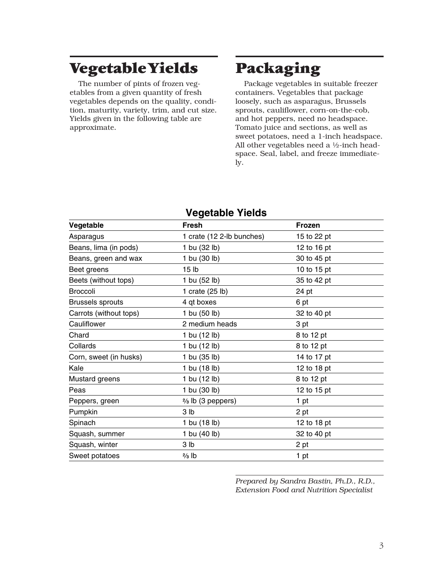## Vegetable Yields

 The number of pints of frozen vegetables from a given quantity of fresh vegetables depends on the quality, condition, maturity, variety, trim, and cut size. Yields given in the following table are approximate.

## Packaging

 Package vegetables in suitable freezer containers. Vegetables that package loosely, such as asparagus, Brussels sprouts, cauliflower, corn-on-the-cob, and hot peppers, need no headspace. Tomato juice and sections, as well as sweet potatoes, need a 1-inch headspace. All other vegetables need a ½-inch headspace. Seal, label, and freeze immediately.

|                         | סטיטוט וועושט             |               |
|-------------------------|---------------------------|---------------|
| Vegetable               | Fresh                     | <b>Frozen</b> |
| Asparagus               | 1 crate (12 2-lb bunches) | 15 to 22 pt   |
| Beans, lima (in pods)   | 1 bu (32 lb)              | 12 to 16 pt   |
| Beans, green and wax    | 1 bu (30 lb)              | 30 to 45 pt   |
| Beet greens             | 15 <sub>lb</sub>          | 10 to 15 pt   |
| Beets (without tops)    | 1 bu (52 lb)              | 35 to 42 pt   |
| <b>Broccoli</b>         | 1 crate (25 lb)           | 24 pt         |
| <b>Brussels sprouts</b> | 4 qt boxes                | 6 pt          |
| Carrots (without tops)  | 1 bu (50 lb)              | 32 to 40 pt   |
| Cauliflower             | 2 medium heads            | 3 pt          |
| Chard                   | 1 bu (12 lb)              | 8 to 12 pt    |
| Collards                | 1 bu (12 lb)              | 8 to 12 pt    |
| Corn, sweet (in husks)  | 1 bu (35 lb)              | 14 to 17 pt   |
| Kale                    | 1 bu (18 lb)              | 12 to 18 pt   |
| Mustard greens          | 1 bu (12 lb)              | 8 to 12 pt    |
| Peas                    | 1 bu (30 lb)              | 12 to 15 pt   |
| Peppers, green          | % lb (3 peppers)          | 1 pt          |
| Pumpkin                 | 3 lb                      | 2 pt          |
| Spinach                 | 1 bu (18 lb)              | 12 to 18 pt   |
| Squash, summer          | 1 bu (40 lb)              | 32 to 40 pt   |
| Squash, winter          | 3 lb                      | 2 pt          |
| Sweet potatoes          | $2/3$ lb                  | 1 pt          |
|                         |                           |               |

#### **Vegetable Yields**

*Prepared by Sandra Bastin, Ph.D., R.D., Extension Food and Nutrition Specialist*